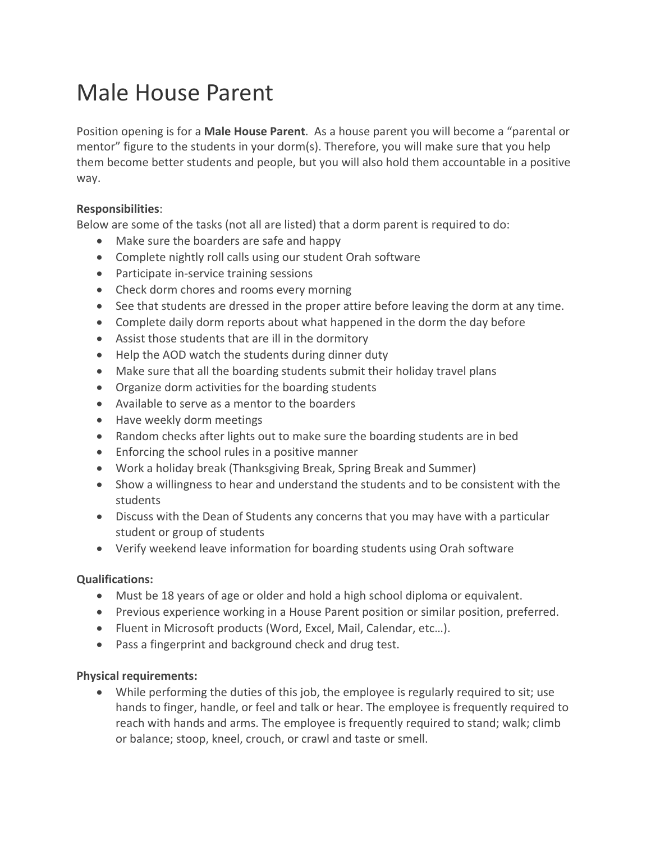## Male House Parent

Position opening is for a **Male House Parent**. As a house parent you will become a "parental or mentor" figure to the students in your dorm(s). Therefore, you will make sure that you help them become better students and people, but you will also hold them accountable in a positive way.

## **Responsibilities**:

Below are some of the tasks (not all are listed) that a dorm parent is required to do:

- Make sure the boarders are safe and happy
- Complete nightly roll calls using our student Orah software
- Participate in-service training sessions
- Check dorm chores and rooms every morning
- See that students are dressed in the proper attire before leaving the dorm at any time.
- Complete daily dorm reports about what happened in the dorm the day before
- Assist those students that are ill in the dormitory
- Help the AOD watch the students during dinner duty
- Make sure that all the boarding students submit their holiday travel plans
- Organize dorm activities for the boarding students
- Available to serve as a mentor to the boarders
- Have weekly dorm meetings
- Random checks after lights out to make sure the boarding students are in bed
- Enforcing the school rules in a positive manner
- Work a holiday break (Thanksgiving Break, Spring Break and Summer)
- Show a willingness to hear and understand the students and to be consistent with the students
- Discuss with the Dean of Students any concerns that you may have with a particular student or group of students
- Verify weekend leave information for boarding students using Orah software

## **Qualifications:**

- Must be 18 years of age or older and hold a high school diploma or equivalent.
- Previous experience working in a House Parent position or similar position, preferred.
- Fluent in Microsoft products (Word, Excel, Mail, Calendar, etc…).
- Pass a fingerprint and background check and drug test.

## **Physical requirements:**

 While performing the duties of this job, the employee is regularly required to sit; use hands to finger, handle, or feel and talk or hear. The employee is frequently required to reach with hands and arms. The employee is frequently required to stand; walk; climb or balance; stoop, kneel, crouch, or crawl and taste or smell.